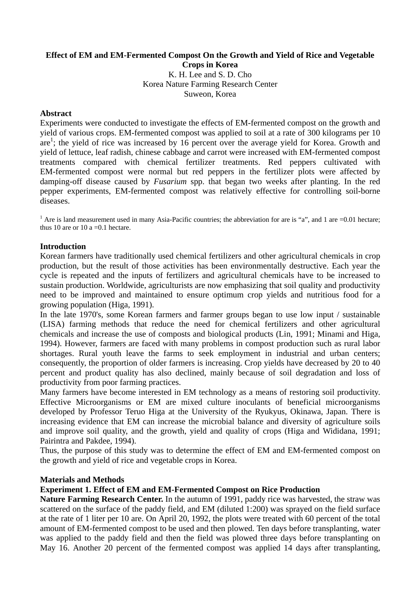### **Effect of EM and EM-Fermented Compost On the Growth and Yield of Rice and Vegetable Crops in Korea**

K. H. Lee and S. D. Cho Korea Nature Farming Research Center Suweon, Korea

### **Abstract**

Experiments were conducted to investigate the effects of EM-fermented compost on the growth and yield of various crops. EM-fermented compost was applied to soil at a rate of 300 kilograms per 10 are<sup>1</sup>; the yield of rice was increased by 16 percent over the average yield for Korea. Growth and yield of lettuce, leaf radish, chinese cabbage and carrot were increased with EM-fermented compost treatments compared with chemical fertilizer treatments. Red peppers cultivated with EM-fermented compost were normal but red peppers in the fertilizer plots were affected by damping-off disease caused by *Fusarium* spp. that began two weeks after planting. In the red pepper experiments, EM-fermented compost was relatively effective for controlling soil-borne diseases.

<sup>1</sup> Are is land measurement used in many Asia-Pacific countries; the abbreviation for are is "a", and 1 are  $=0.01$  hectare; thus 10 are or 10 a =  $0.1$  hectare.

### **Introduction**

Korean farmers have traditionally used chemical fertilizers and other agricultural chemicals in crop production, but the result of those activities has been environmentally destructive. Each year the cycle is repeated and the inputs of fertilizers and agricultural chemicals have to be increased to sustain production. Worldwide, agriculturists are now emphasizing that soil quality and productivity need to be improved and maintained to ensure optimum crop yields and nutritious food for a growing population (Higa, 1991).

In the late 1970's, some Korean farmers and farmer groups began to use low input / sustainable (LISA) farming methods that reduce the need for chemical fertilizers and other agricultural chemicals and increase the use of composts and biological products (Lin, 1991; Minami and Higa, 1994). However, farmers are faced with many problems in compost production such as rural labor shortages. Rural youth leave the farms to seek employment in industrial and urban centers; consequently, the proportion of older farmers is increasing. Crop yields have decreased by 20 to 40 percent and product quality has also declined, mainly because of soil degradation and loss of productivity from poor farming practices.

Many farmers have become interested in EM technology as a means of restoring soil productivity. Effective Microorganisms or EM are mixed culture inoculants of beneficial microorganisms developed by Professor Teruo Higa at the University of the Ryukyus, Okinawa, Japan. There is increasing evidence that EM can increase the microbial balance and diversity of agriculture soils and improve soil quality, and the growth, yield and quality of crops (Higa and Wididana, 1991; Pairintra and Pakdee, 1994).

Thus, the purpose of this study was to determine the effect of EM and EM-fermented compost on the growth and yield of rice and vegetable crops in Korea.

#### **Materials and Methods**

# **Experiment 1. Effect of EM and EM-Fermented Compost on Rice Production**

**Nature Farming Research Center.** In the autumn of 1991, paddy rice was harvested, the straw was scattered on the surface of the paddy field, and EM (diluted 1:200) was sprayed on the field surface at the rate of 1 liter per 10 are. On April 20, 1992, the plots were treated with 60 percent of the total amount of EM-fermented compost to be used and then plowed. Ten days before transplanting, water was applied to the paddy field and then the field was plowed three days before transplanting on May 16. Another 20 percent of the fermented compost was applied 14 days after transplanting,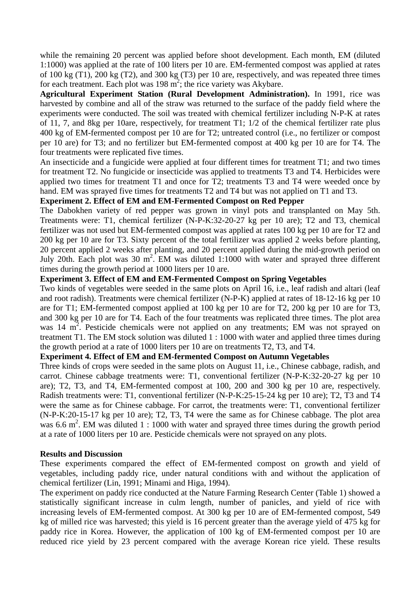while the remaining 20 percent was applied before shoot development. Each month, EM (diluted 1:1000) was applied at the rate of 100 liters per 10 are. EM-fermented compost was applied at rates of 100 kg (T1), 200 kg (T2), and 300 kg (T3) per 10 are, respectively, and was repeated three times for each treatment. Each plot was  $198 \text{ m}^2$ ; the rice variety was Akybare.

**Agricultural Experiment Station (Rural Development Administration).** In 1991, rice was harvested by combine and all of the straw was returned to the surface of the paddy field where the experiments were conducted. The soil was treated with chemical fertilizer including N-P-K at rates of 11, 7, and 8kg per 10are, respectively, for treatment T1; 1/2 of the chemical fertilizer rate plus 400 kg of EM-fermented compost per 10 are for T2; untreated control (i.e., no fertilizer or compost per 10 are) for T3; and no fertilizer but EM-fermented compost at 400 kg per 10 are for T4. The four treatments were replicated five times.

An insecticide and a fungicide were applied at four different times for treatment T1; and two times for treatment T2. No fungicide or insecticide was applied to treatments T3 and T4. Herbicides were applied two times for treatment T1 and once for T2; treatments T3 and T4 were weeded once by hand. EM was sprayed five times for treatments T2 and T4 but was not applied on T1 and T3.

# **Experiment 2. Effect of EM and EM-Fermented Compost on Red Pepper**

The Dabokhen variety of red pepper was grown in vinyl pots and transplanted on May 5th. Treatments were: T1, chemical fertilizer (N-P-K:32-20-27 kg per 10 are); T2 and T3, chemical fertilizer was not used but EM-fermented compost was applied at rates 100 kg per 10 are for T2 and 200 kg per 10 are for T3. Sixty percent of the total fertilizer was applied 2 weeks before planting, 20 percent applied 2 weeks after planting, and 20 percent applied during the mid-growth period on July 20th. Each plot was 30 m<sup>2</sup>. EM was diluted 1:1000 with water and sprayed three different times during the growth period at 1000 liters per 10 are.

### **Experiment 3. Effect of EM and EM-Fermented Compost on Spring Vegetables**

Two kinds of vegetables were seeded in the same plots on April 16, i.e., leaf radish and altari (leaf and root radish). Treatments were chemical fertilizer (N-P-K) applied at rates of 18-12-16 kg per 10 are for T1; EM-fermented compost applied at 100 kg per 10 are for T2, 200 kg per 10 are for T3, and 300 kg per 10 are for T4. Each of the four treatments was replicated three times. The plot area was 14 m<sup>2</sup>. Pesticide chemicals were not applied on any treatments; EM was not sprayed on treatment T1. The EM stock solution was diluted 1 : 1000 with water and applied three times during the growth period at a rate of 1000 liters per 10 are on treatments T2, T3, and T4.

# **Experiment 4. Effect of EM and EM-fermented Compost on Autumn Vegetables**

Three kinds of crops were seeded in the same plots on August 11, i.e., Chinese cabbage, radish, and carrot. Chinese cabbage treatments were: T1, conventional fertilizer (N-P-K:32-20-27 kg per 10 are); T2, T3, and T4, EM-fermented compost at 100, 200 and 300 kg per 10 are, respectively. Radish treatments were: T1, conventional fertilizer (N-P-K:25-15-24 kg per 10 are); T2, T3 and T4 were the same as for Chinese cabbage. For carrot, the treatments were: T1, conventional fertilizer (N-P-K:20-15-17 kg per 10 are); T2, T3, T4 were the same as for Chinese cabbage. The plot area was 6.6  $m^2$ . EM was diluted 1 : 1000 with water and sprayed three times during the growth period at a rate of 1000 liters per 10 are. Pesticide chemicals were not sprayed on any plots.

### **Results and Discussion**

These experiments compared the effect of EM-fermented compost on growth and yield of vegetables, including paddy rice, under natural conditions with and without the application of chemical fertilizer (Lin, 1991; Minami and Higa, 1994).

The experiment on paddy rice conducted at the Nature Farming Research Center (Table 1) showed a statistically significant increase in culm length, number of panicles, and yield of rice with increasing levels of EM-fermented compost. At 300 kg per 10 are of EM-fermented compost, 549 kg of milled rice was harvested; this yield is 16 percent greater than the average yield of 475 kg for paddy rice in Korea. However, the application of 100 kg of EM-fermented compost per 10 are reduced rice yield by 23 percent compared with the average Korean rice yield. These results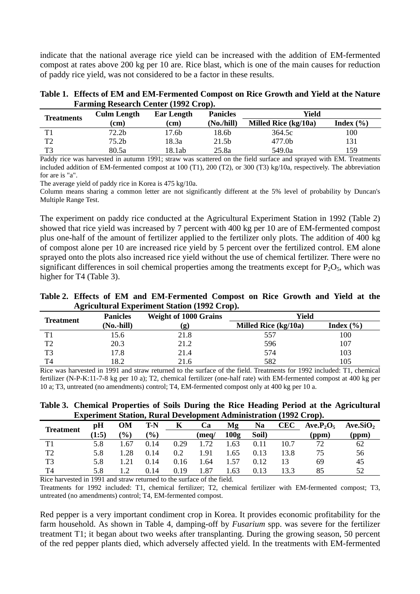indicate that the national average rice yield can be increased with the addition of EM-fermented compost at rates above 200 kg per 10 are. Rice blast, which is one of the main causes for reduction of paddy rice yield, was not considered to be a factor in these results.

| Table 1. Effects of EM and EM-Fermented Compost on Rice Growth and Yield at the Nature |
|----------------------------------------------------------------------------------------|
| <b>Farming Research Center (1992 Crop).</b>                                            |

| <b>Treatments</b> | <b>Culm Length</b> | <b>Ear Length</b> | <b>Panicles</b> | Yield                |               |
|-------------------|--------------------|-------------------|-----------------|----------------------|---------------|
|                   | (c <sub>m</sub> )  | (cm)              | (No./hill)      | Milled Rice (kg/10a) | Index $(\% )$ |
| T 1               | 72.2 <sub>b</sub>  | 17.6b             | 18.6b           | 364.5c               | 100           |
| T2                | 75.2 <sub>b</sub>  | 18.3a             | 21.5b           | 477.0b               | 131           |
| T3                | 80.5a              | 18.1ab            | 25.8a           | 549.0a               | 159           |

Paddy rice was harvested in autumn 1991; straw was scattered on the field surface and sprayed with EM. Treatments included addition of EM-fermented compost at 100 (T1), 200 (T2), or 300 (T3) kg/10a, respectively. The abbreviation for are is "a".

The average yield of paddy rice in Korea is 475 kg/10a.

Column means sharing a common letter are not significantly different at the 5% level of probability by Duncan's Multiple Range Test.

The experiment on paddy rice conducted at the Agricultural Experiment Station in 1992 (Table 2) showed that rice yield was increased by 7 percent with 400 kg per 10 are of EM-fermented compost plus one-half of the amount of fertilizer applied to the fertilizer only plots. The addition of 400 kg of compost alone per 10 are increased rice yield by 5 percent over the fertilized control. EM alone sprayed onto the plots also increased rice yield without the use of chemical fertilizer. There were no significant differences in soil chemical properties among the treatments except for  $P_2O_5$ , which was higher for T4 (Table 3).

**Table 2. Effects of EM and EM-Fermented Compost on Rice Growth and Yield at the Agricultural Experiment Station (1992 Crop).** 

| <b>Treatment</b> | <b>Panicles</b> | <b>Weight of 1000 Grains</b> | Yield                |               |  |
|------------------|-----------------|------------------------------|----------------------|---------------|--|
|                  | (No.-hill)      | (g)                          | Milled Rice (kg/10a) | Index $(\% )$ |  |
| T1               | 15.6            | 21.8                         | 557                  | 100           |  |
| T <sub>2</sub>   | 20.3            | 21.2                         | 596                  | 107           |  |
| T <sub>3</sub>   | 17.8            | 21.4                         | 574                  | 103           |  |
| T <sub>4</sub>   | 18.2            | 21.6                         | 582                  | 105           |  |

Rice was harvested in 1991 and straw returned to the surface of the field. Treatments for 1992 included: T1, chemical fertilizer (N-P-K:11-7-8 kg per 10 a); T2, chemical fertilizer (one-half rate) with EM-fermented compost at 400 kg per 10 a; T3, untreated (no amendments) control; T4, EM-fermented compost only at 400 kg per 10 a.

**Table 3. Chemical Properties of Soils During the Rice Heading Period at the Agricultural Experiment Station, Rural Development Administration (1992 Crop).** 

| <b>Treatment</b> | рH    | OМ               | T-N             | K    | Ca    | Mg   | Na    | <b>CEC</b> | $Ave.P_2O_5$ | Ave.SiO <sub>2</sub> |
|------------------|-------|------------------|-----------------|------|-------|------|-------|------------|--------------|----------------------|
|                  | (1:5) | $\mathcal{O}(6)$ | $\mathcal{O}_0$ |      | (meg/ | 100g | Soil) |            | (ppm)        | (ppm)                |
| Τ1               | 5.8   | . 67             | 0.14            | 0.29 | 72    | .63  | 0.11  | 10.7       | 72           | 62                   |
| T2               | 5.8   | .28              | 0.14            | 0.2  | .91   | 1.65 | 0.13  | 13.8       |              | 56                   |
| T3               | 5.8   | .21              | 0.14            | 0.16 | .64   | 1.57 | 0.12  | 13         | 69           | 45                   |
| T4               | 5.8   |                  | 0.14            | 0.19 | .87   | 1.63 | 0.13  | 13.3       | 85           | 52                   |

Rice harvested in 1991 and straw returned to the surface of the field.

Treatments for 1992 included: T1, chemical fertilizer; T2, chemical fertilizer with EM-fermented compost; T3, untreated (no amendments) control; T4, EM-fermented compost.

Red pepper is a very important condiment crop in Korea. It provides economic profitability for the farm household. As shown in Table 4, damping-off by *Fusarium* spp. was severe for the fertilizer treatment T1; it began about two weeks after transplanting. During the growing season, 50 percent of the red pepper plants died, which adversely affected yield. In the treatments with EM-fermented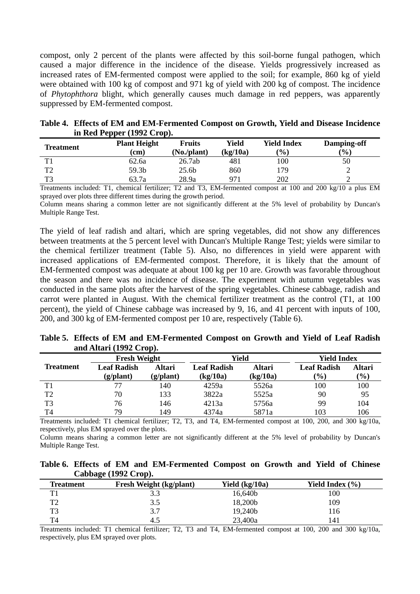compost, only 2 percent of the plants were affected by this soil-borne fungal pathogen, which caused a major difference in the incidence of the disease. Yields progressively increased as increased rates of EM-fermented compost were applied to the soil; for example, 860 kg of yield were obtained with 100 kg of compost and 971 kg of yield with 200 kg of compost. The incidence of *Phytophthora* blight, which generally causes much damage in red peppers, was apparently suppressed by EM-fermented compost.

| Table 4. Effects of EM and EM-Fermented Compost on Growth, Yield and Disease Incidence |
|----------------------------------------------------------------------------------------|
| in Red Pepper $(1992$ Crop).                                                           |

| <b>Treatment</b> | <b>Plant Height</b> | <b>Fruits</b> | Yield    | Yield Index   | Damping-off |
|------------------|---------------------|---------------|----------|---------------|-------------|
|                  | (cm)                | (No./plant)   | (kg/10a) | $\frac{9}{0}$ | (%)         |
| T1               | 62.6a               | 26.7ab        | 481      | 00            | 50          |
| T2               | 59.3b               | 25.6b         | 860      | .79           |             |
| T3               | 63.7a               | 28.9a         | 971      | 202           |             |

Treatments included: T1, chemical fertilizer; T2 and T3, EM-fermented compost at 100 and 200 kg/10 a plus EM sprayed over plots three different times during the growth period.

Column means sharing a common letter are not significantly different at the 5% level of probability by Duncan's Multiple Range Test.

The yield of leaf radish and altari, which are spring vegetables, did not show any differences between treatments at the 5 percent level with Duncan's Multiple Range Test; yields were similar to the chemical fertilizer treatment (Table 5). Also, no differences in yield were apparent with increased applications of EM-fermented compost. Therefore, it is likely that the amount of EM-fermented compost was adequate at about 100 kg per 10 are. Growth was favorable throughout the season and there was no incidence of disease. The experiment with autumn vegetables was conducted in the same plots after the harvest of the spring vegetables. Chinese cabbage, radish and carrot were planted in August. With the chemical fertilizer treatment as the control (T1, at 100 percent), the yield of Chinese cabbage was increased by 9, 16, and 41 percent with inputs of 100, 200, and 300 kg of EM-fermented compost per 10 are, respectively (Table 6).

**Table 5. Effects of EM and EM-Fermented Compost on Growth and Yield of Leaf Radish and Altari (1992 Crop).** 

|                  | <b>Fresh Weight</b>             |                            | Yield                          |                    | <b>Yield Index</b>                  |                         |
|------------------|---------------------------------|----------------------------|--------------------------------|--------------------|-------------------------------------|-------------------------|
| <b>Treatment</b> | <b>Leaf Radish</b><br>(g/plant) | <b>Altari</b><br>(g/plant) | <b>Leaf Radish</b><br>(kg/10a) | Altari<br>(kg/10a) | <b>Leaf Radish</b><br>$\frac{9}{0}$ | Altari<br>$\frac{1}{2}$ |
| T1               | 77                              | 140                        | 4259a                          | 5526a              | 100                                 | 100                     |
| T2               | 70                              | 133                        | 3822a                          | 5525a              | 90                                  | 95                      |
| T3               | 76                              | 146                        | 4213a                          | 5756a              | 99                                  | 104                     |
| T4               | 79                              | 149                        | 4374a                          | 5871a              | 103                                 | 106                     |

Treatments included: T1 chemical fertilizer; T2, T3, and T4, EM-fermented compost at 100, 200, and 300 kg/10a, respectively, plus EM sprayed over the plots.

Column means sharing a common letter are not significantly different at the 5% level of probability by Duncan's Multiple Range Test.

**Table 6. Effects of EM and EM-Fermented Compost on Growth and Yield of Chinese Cabbage (1992 Crop).** 

|                  | -                              |                  |                     |
|------------------|--------------------------------|------------------|---------------------|
| <b>Treatment</b> | <b>Fresh Weight (kg/plant)</b> | Yield $(kg/10a)$ | Yield Index $(\% )$ |
| m 1              |                                | 16,640b          | 100                 |
| ጒ                | 3.5                            | 18,200b          | 109                 |
| ፐገ               | 37<br>، ، ب                    | 19,240b          | 116                 |
|                  | 4.5                            | 23,400a          | 141                 |

Treatments included: T1 chemical fertilizer; T2, T3 and T4, EM-fermented compost at 100, 200 and 300 kg/10a, respectively, plus EM sprayed over plots.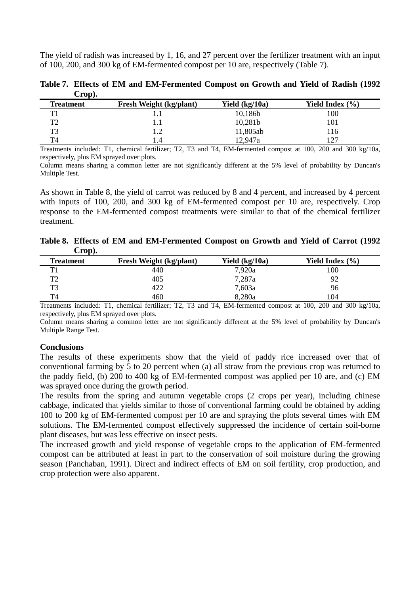The yield of radish was increased by 1, 16, and 27 percent over the fertilizer treatment with an input of 100, 200, and 300 kg of EM-fermented compost per 10 are, respectively (Table 7).

| $\mathbf{C}$ rop). |                                |                  |                     |
|--------------------|--------------------------------|------------------|---------------------|
| <b>Treatment</b>   | <b>Fresh Weight (kg/plant)</b> | Yield $(kg/10a)$ | Yield Index $(\% )$ |
| TT1                | 1.1                            | 10,186b          | 100                 |
| ፐን                 | U.I                            | 10,281b          | 101                 |
| T3                 | $\mathsf{L}.2$                 | 11,805ab         | 116                 |
| T4                 | .4                             | 12,947a          | 127                 |

**Table 7. Effects of EM and EM-Fermented Compost on Growth and Yield of Radish (1992**   $\alpha$   $\beta$ 

Treatments included: T1, chemical fertilizer; T2, T3 and T4, EM-fermented compost at 100, 200 and 300 kg/10a, respectively, plus EM sprayed over plots.

Column means sharing a common letter are not significantly different at the 5% level of probability by Duncan's Multiple Test.

As shown in Table 8, the yield of carrot was reduced by 8 and 4 percent, and increased by 4 percent with inputs of 100, 200, and 300 kg of EM-fermented compost per 10 are, respectively. Crop response to the EM-fermented compost treatments were similar to that of the chemical fertilizer treatment.

**Table 8. Effects of EM and EM-Fermented Compost on Growth and Yield of Carrot (1992 Crop).** 

| <b>Treatment</b> | <b>Fresh Weight (kg/plant)</b> | Yield $(kg/10a)$ | Yield Index (%) |
|------------------|--------------------------------|------------------|-----------------|
| T1               | 440                            | 7,920a           | 100             |
| T2               | 405                            | 7,287a           | 92              |
| T3               | 422                            | 7,603a           | 96              |
| T4               | 460                            | 8,280a           | 104             |

Treatments included: T1, chemical fertilizer; T2, T3 and T4, EM-fermented compost at 100, 200 and 300 kg/10a, respectively, plus EM sprayed over plots.

Column means sharing a common letter are not significantly different at the 5% level of probability by Duncan's Multiple Range Test.

#### **Conclusions**

The results of these experiments show that the yield of paddy rice increased over that of conventional farming by 5 to 20 percent when (a) all straw from the previous crop was returned to the paddy field, (b) 200 to 400 kg of EM-fermented compost was applied per 10 are, and (c) EM was sprayed once during the growth period.

The results from the spring and autumn vegetable crops (2 crops per year), including chinese cabbage, indicated that yields similar to those of conventional farming could be obtained by adding 100 to 200 kg of EM-fermented compost per 10 are and spraying the plots several times with EM solutions. The EM-fermented compost effectively suppressed the incidence of certain soil-borne plant diseases, but was less effective on insect pests.

The increased growth and yield response of vegetable crops to the application of EM-fermented compost can be attributed at least in part to the conservation of soil moisture during the growing season (Panchaban, 1991). Direct and indirect effects of EM on soil fertility, crop production, and crop protection were also apparent.